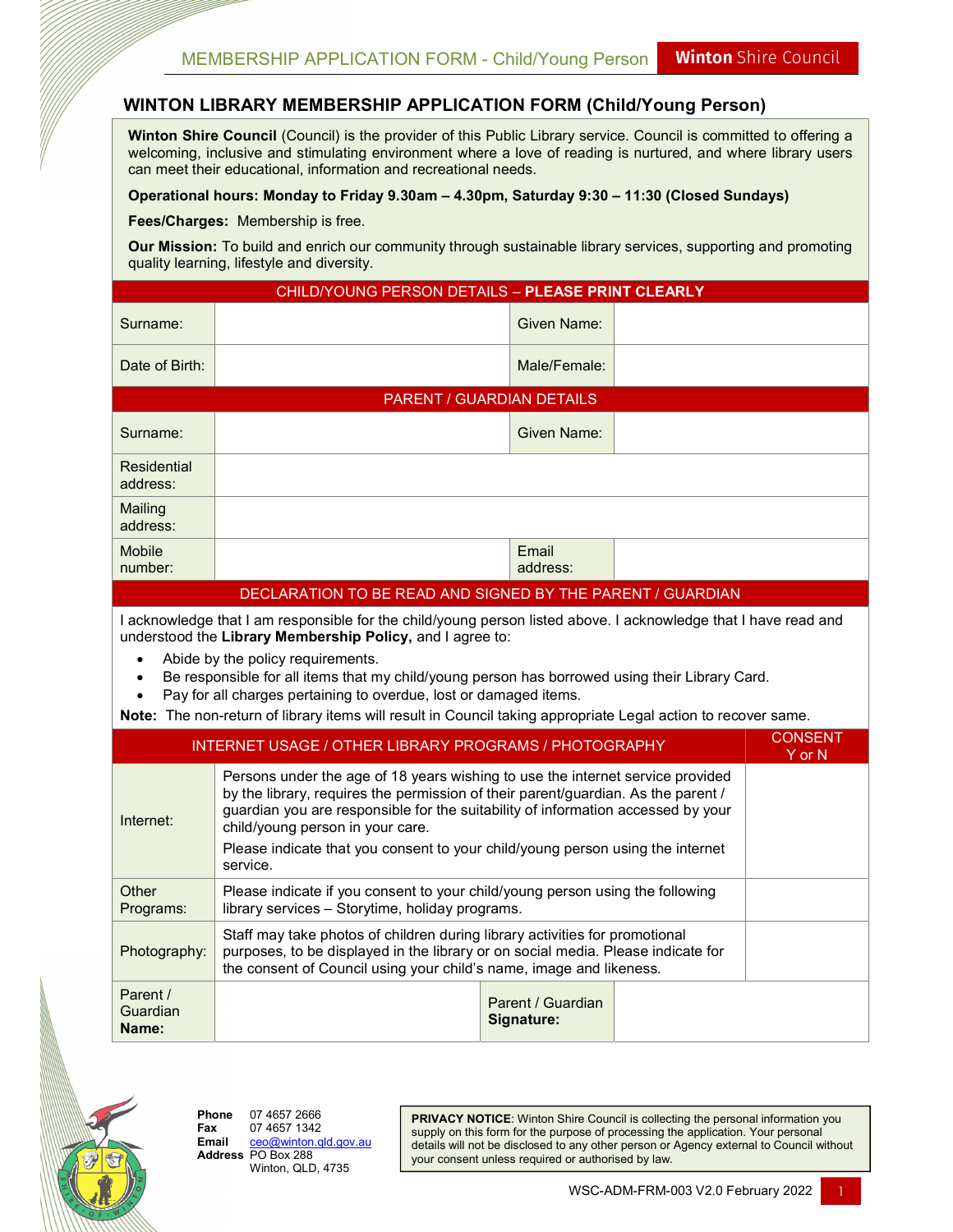## WINTON LIBRARY MEMBERSHIP APPLICATION FORM (Child/Young Person)

Winton Shire Council (Council) is the provider of this Public Library service. Council is committed to offering a welcoming, inclusive and stimulating environment where a love of reading is nurtured, and where library users can meet their educational, information and recreational needs.

## Operational hours: Monday to Friday 9.30am – 4.30pm, Saturday 9:30 – 11:30 (Closed Sundays)

Fees/Charges: Membership is free.

Our Mission: To build and enrich our community through sustainable library services, supporting and promoting quality learning, lifestyle and diversity.

| CHILD/YOUNG PERSON DETAILS - PLEASE PRINT CLEARLY                                                                                                                                                                                                                                                                                                                                                                                                                                                         |                                                                                                                                                                                                                                                                                                                                                                                           |                                 |  |  |  |  |  |  |
|-----------------------------------------------------------------------------------------------------------------------------------------------------------------------------------------------------------------------------------------------------------------------------------------------------------------------------------------------------------------------------------------------------------------------------------------------------------------------------------------------------------|-------------------------------------------------------------------------------------------------------------------------------------------------------------------------------------------------------------------------------------------------------------------------------------------------------------------------------------------------------------------------------------------|---------------------------------|--|--|--|--|--|--|
| Surname:                                                                                                                                                                                                                                                                                                                                                                                                                                                                                                  |                                                                                                                                                                                                                                                                                                                                                                                           | <b>Given Name:</b>              |  |  |  |  |  |  |
| Date of Birth:                                                                                                                                                                                                                                                                                                                                                                                                                                                                                            |                                                                                                                                                                                                                                                                                                                                                                                           | Male/Female:                    |  |  |  |  |  |  |
| PARENT / GUARDIAN DETAILS                                                                                                                                                                                                                                                                                                                                                                                                                                                                                 |                                                                                                                                                                                                                                                                                                                                                                                           |                                 |  |  |  |  |  |  |
| Surname:                                                                                                                                                                                                                                                                                                                                                                                                                                                                                                  |                                                                                                                                                                                                                                                                                                                                                                                           | Given Name:                     |  |  |  |  |  |  |
| <b>Residential</b><br>address:                                                                                                                                                                                                                                                                                                                                                                                                                                                                            |                                                                                                                                                                                                                                                                                                                                                                                           |                                 |  |  |  |  |  |  |
| Mailing<br>address:                                                                                                                                                                                                                                                                                                                                                                                                                                                                                       |                                                                                                                                                                                                                                                                                                                                                                                           |                                 |  |  |  |  |  |  |
| <b>Mobile</b><br>number:                                                                                                                                                                                                                                                                                                                                                                                                                                                                                  |                                                                                                                                                                                                                                                                                                                                                                                           | Email<br>address:               |  |  |  |  |  |  |
|                                                                                                                                                                                                                                                                                                                                                                                                                                                                                                           | DECLARATION TO BE READ AND SIGNED BY THE PARENT / GUARDIAN                                                                                                                                                                                                                                                                                                                                |                                 |  |  |  |  |  |  |
| I acknowledge that I am responsible for the child/young person listed above. I acknowledge that I have read and<br>understood the Library Membership Policy, and I agree to:<br>Abide by the policy requirements.<br>Be responsible for all items that my child/young person has borrowed using their Library Card.<br>Pay for all charges pertaining to overdue, lost or damaged items.<br>Note: The non-return of library items will result in Council taking appropriate Legal action to recover same. |                                                                                                                                                                                                                                                                                                                                                                                           |                                 |  |  |  |  |  |  |
| <b>CONSENT</b><br><b>INTERNET USAGE / OTHER LIBRARY PROGRAMS / PHOTOGRAPHY</b><br>Y or N                                                                                                                                                                                                                                                                                                                                                                                                                  |                                                                                                                                                                                                                                                                                                                                                                                           |                                 |  |  |  |  |  |  |
| Internet:                                                                                                                                                                                                                                                                                                                                                                                                                                                                                                 | Persons under the age of 18 years wishing to use the internet service provided<br>by the library, requires the permission of their parent/guardian. As the parent /<br>guardian you are responsible for the suitability of information accessed by your<br>child/young person in your care.<br>Please indicate that you consent to your child/young person using the internet<br>service. |                                 |  |  |  |  |  |  |
| Other<br>Programs:                                                                                                                                                                                                                                                                                                                                                                                                                                                                                        | Please indicate if you consent to your child/young person using the following<br>library services - Storytime, holiday programs.                                                                                                                                                                                                                                                          |                                 |  |  |  |  |  |  |
| Photography:                                                                                                                                                                                                                                                                                                                                                                                                                                                                                              | Staff may take photos of children during library activities for promotional<br>purposes, to be displayed in the library or on social media. Please indicate for<br>the consent of Council using your child's name, image and likeness.                                                                                                                                                    |                                 |  |  |  |  |  |  |
| Parent /<br>Guardian<br>Name:                                                                                                                                                                                                                                                                                                                                                                                                                                                                             |                                                                                                                                                                                                                                                                                                                                                                                           | Parent / Guardian<br>Signature: |  |  |  |  |  |  |



**Phone** 07 4657 2666<br>**Fax** 07 4657 1342 Fax  $07\,4657\,1342$ <br>Email  $\frac{ceo(\omega)}{i}$  Email ceo@winton.qld.gov.au Address PO Box 288 Winton, QLD, 4735

PRIVACY NOTICE: Winton Shire Council is collecting the personal information you supply on this form for the purpose of processing the application. Your personal details will not be disclosed to any other person or Agency external to Council without your consent unless required or authorised by law.